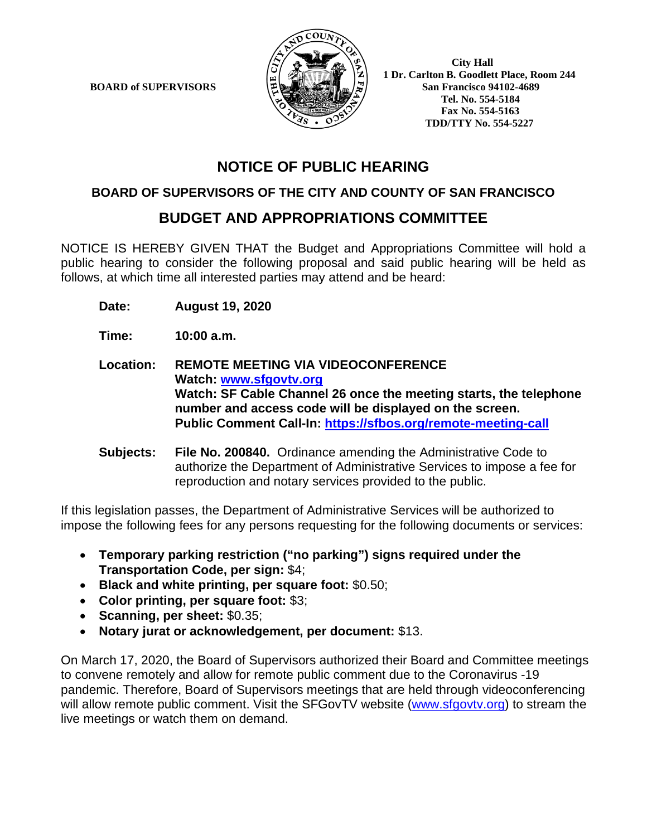**BOARD of SUPERVISORS** 



 **1 Dr. Carlton B. Goodlett Place, Room 244 Tel. No. 554-5184 Fax No. 554-5163 TDD/TTY No. 554-5227**

# **NOTICE OF PUBLIC HEARING**

### **BOARD OF SUPERVISORS OF THE CITY AND COUNTY OF SAN FRANCISCO**

## **BUDGET AND APPROPRIATIONS COMMITTEE**

NOTICE IS HEREBY GIVEN THAT the Budget and Appropriations Committee will hold a public hearing to consider the following proposal and said public hearing will be held as follows, at which time all interested parties may attend and be heard:

**Date: August 19, 2020**

**Time: 10:00 a.m.**

**Location: REMOTE MEETING VIA VIDEOCONFERENCE Watch: www.sfgovtv.org Watch: SF Cable Channel 26 once the meeting starts, the telephone number and access code will be displayed on the screen. Public Comment Call-In: https://sfbos.org/remote-meeting-call** 

**Subjects: File No. 200840.** Ordinance amending the Administrative Code to authorize the Department of Administrative Services to impose a fee for reproduction and notary services provided to the public.

If this legislation passes, the Department of Administrative Services will be authorized to impose the following fees for any persons requesting for the following documents or services:

- **Temporary parking restriction ("no parking") signs required under the Transportation Code, per sign:** \$4;
- **Black and white printing, per square foot:** \$0.50;
- **Color printing, per square foot:** \$3;
- **Scanning, per sheet:** \$0.35;
- **Notary jurat or acknowledgement, per document:** \$13.

On March 17, 2020, the Board of Supervisors authorized their Board and Committee meetings to convene remotely and allow for remote public comment due to the Coronavirus -19 pandemic. Therefore, Board of Supervisors meetings that are held through videoconferencing will allow remote public comment. Visit the SFGovTV website (www.sfgovtv.org) to stream the live meetings or watch them on demand.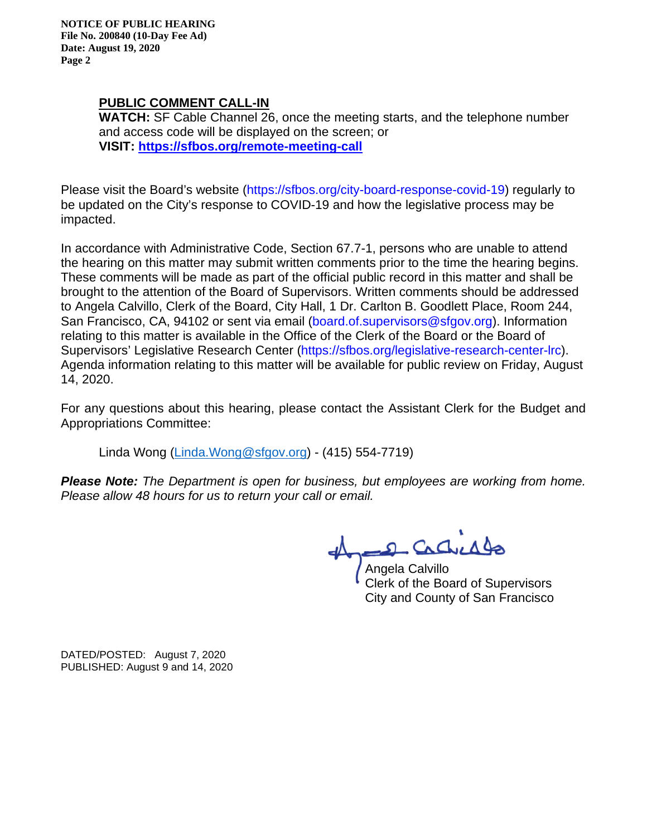**NOTICE OF PUBLIC HEARING File No. 200840 (10-Day Fee Ad) Date: August 19, 2020 Page 2** 

### **PUBLIC COMMENT CALL-IN**

**WATCH:** SF Cable Channel 26, once the meeting starts, and the telephone number and access code will be displayed on the screen; or **VISIT: https://sfbos.org/remote-meeting-call** 

Please visit the Board's website (https://sfbos.org/city-board-response-covid-19) regularly to be updated on the City's response to COVID-19 and how the legislative process may be impacted.

In accordance with Administrative Code, Section 67.7-1, persons who are unable to attend the hearing on this matter may submit written comments prior to the time the hearing begins. These comments will be made as part of the official public record in this matter and shall be brought to the attention of the Board of Supervisors. Written comments should be addressed to Angela Calvillo, Clerk of the Board, City Hall, 1 Dr. Carlton B. Goodlett Place, Room 244, San Francisco, CA, 94102 or sent via email (board.of.supervisors@sfgov.org). Information relating to this matter is available in the Office of the Clerk of the Board or the Board of Supervisors' Legislative Research Center (https://sfbos.org/legislative-research-center-lrc). Agenda information relating to this matter will be available for public review on Friday, August 14, 2020.

For any questions about this hearing, please contact the Assistant Clerk for the Budget and Appropriations Committee:

Linda Wong (Linda.Wong@sfgov.org) - (415) 554-7719)

*Please Note: The Department is open for business, but employees are working from home. Please allow 48 hours for us to return your call or email.* 

2 Cachicago

Angela Calvillo Clerk of the Board of Supervisors City and County of San Francisco

DATED/POSTED: August 7, 2020 PUBLISHED: August 9 and 14, 2020